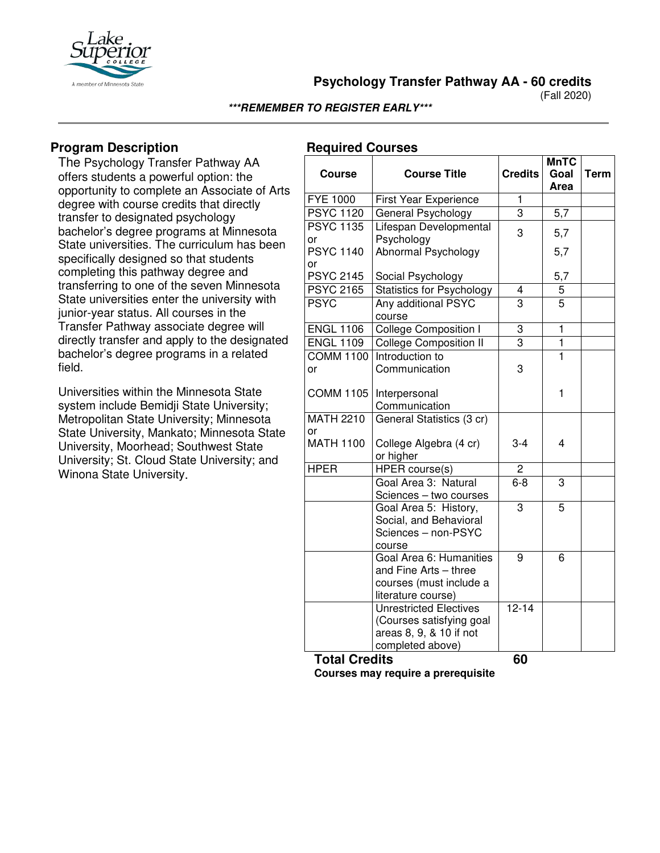

**Psychology Transfer Pathway AA - 60 credits**

(Fall 2020)

### **\*\*\*REMEMBER TO REGISTER EARLY\*\*\***

## **Program Description**

The Psychology Transfer Pathway AA offers students a powerful option: the opportunity to complete an Associate of Arts degree with course credits that directly transfer to designated psychology bachelor's degree programs at Minnesota State universities. The curriculum has been specifically designed so that students completing this pathway degree and transferring to one of the seven Minnesota State universities enter the university with junior-year status. All courses in the Transfer Pathway associate degree will directly transfer and apply to the designated bachelor's degree programs in a related field.

Universities within the Minnesota State system include Bemidji State University; Metropolitan State University; Minnesota State University, Mankato; Minnesota State University, Moorhead; Southwest State University; St. Cloud State University; and Winona State University.

## **Required Courses**

| <b>Course</b>          | <b>Course Title</b>                                                                                      | <b>Credits</b> | <b>MnTC</b><br>Goal<br>Area | <b>Term</b> |
|------------------------|----------------------------------------------------------------------------------------------------------|----------------|-----------------------------|-------------|
| <b>FYE 1000</b>        | First Year Experience                                                                                    | 1              |                             |             |
| <b>PSYC 1120</b>       | General Psychology                                                                                       | 3              | 5,7                         |             |
| <b>PSYC 1135</b><br>or | Lifespan Developmental<br>Psychology                                                                     | 3              | 5,7                         |             |
| <b>PSYC 1140</b>       | Abnormal Psychology                                                                                      |                | 5,7                         |             |
| or<br><b>PSYC 2145</b> | Social Psychology                                                                                        |                | 5,7                         |             |
| <b>PSYC 2165</b>       | <b>Statistics for Psychology</b>                                                                         | 4              | 5                           |             |
| <b>PSYC</b>            | Any additional PSYC<br>course                                                                            | $\overline{3}$ | 5                           |             |
| <b>ENGL 1106</b>       | <b>College Composition I</b>                                                                             | 3              | $\mathbf{1}$                |             |
| <b>ENGL 1109</b>       | <b>College Composition II</b>                                                                            | 3              | 1                           |             |
| <b>COMM 1100</b>       | Introduction to                                                                                          |                | 1                           |             |
| or                     | Communication                                                                                            | 3              |                             |             |
| <b>COMM 1105</b>       | Interpersonal<br>Communication                                                                           |                | 1                           |             |
| <b>MATH 2210</b>       | General Statistics (3 cr)                                                                                |                |                             |             |
| or                     |                                                                                                          |                |                             |             |
| <b>MATH 1100</b>       | College Algebra (4 cr)<br>or higher                                                                      | $3 - 4$        | 4                           |             |
| <b>HPER</b>            | HPER course(s)                                                                                           | 2              |                             |             |
|                        | Goal Area 3: Natural<br>Sciences - two courses                                                           | $6 - 8$        | 3                           |             |
|                        | Goal Area 5: History,<br>Social, and Behavioral<br>Sciences - non-PSYC<br>course                         | 3              | 5                           |             |
|                        | Goal Area 6: Humanities<br>and Fine Arts - three<br>courses (must include a<br>literature course)        | 9              | 6                           |             |
|                        | <b>Unrestricted Electives</b><br>(Courses satisfying goal<br>areas 8, 9, & 10 if not<br>completed above) | $12 - 14$      |                             |             |
| $T$ atal $\Omega$ r    | <b>Jita</b>                                                                                              | c٨             |                             |             |

**Total Credits 60**

**Courses may require a prerequisite**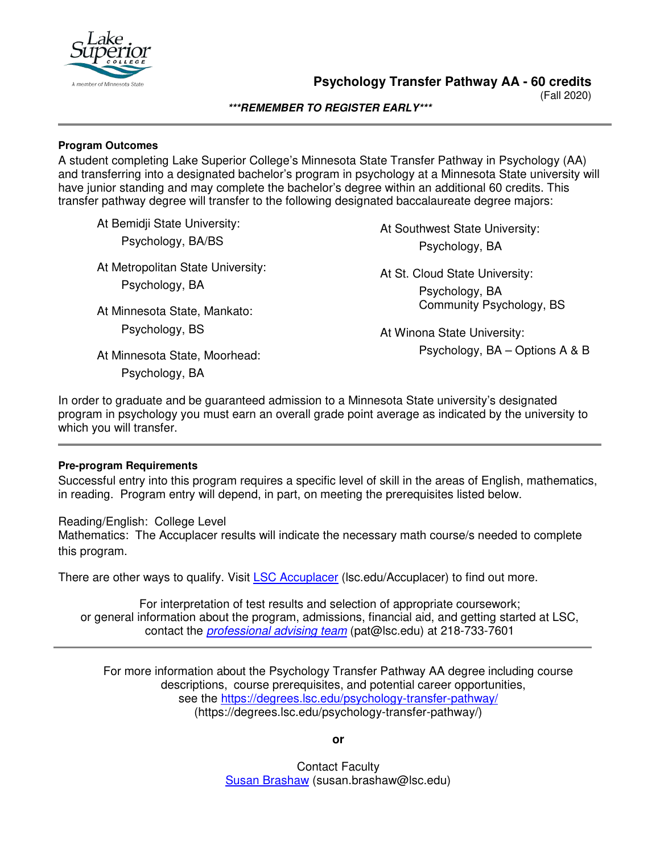

(Fall 2020)

#### **\*\*\*REMEMBER TO REGISTER EARLY\*\*\***

#### **Program Outcomes**

A student completing Lake Superior College's Minnesota State Transfer Pathway in Psychology (AA) and transferring into a designated bachelor's program in psychology at a Minnesota State university will have junior standing and may complete the bachelor's degree within an additional 60 credits. This transfer pathway degree will transfer to the following designated baccalaureate degree majors:

At Bemidji State University:

Psychology, BA/BS

At Metropolitan State University: Psychology, BA

At Minnesota State, Mankato: Psychology, BS

At Southwest State University: Psychology, BA

At St. Cloud State University: Psychology, BA Community Psychology, BS

At Winona State University: Psychology, BA – Options A & B

At Minnesota State, Moorhead: Psychology, BA

In order to graduate and be guaranteed admission to a Minnesota State university's designated program in psychology you must earn an overall grade point average as indicated by the university to which you will transfer.

## **Pre-program Requirements**

Successful entry into this program requires a specific level of skill in the areas of English, mathematics, in reading. Program entry will depend, in part, on meeting the prerequisites listed below.

Reading/English: College Level Mathematics: The Accuplacer results will indicate the necessary math course/s needed to complete this program.

There are other ways to qualify. Visit [LSC Accuplacer](https://www.lsc.edu/accuplacer/) (lsc.edu/Accuplacer) to find out more.

For interpretation of test results and selection of appropriate coursework; or general information about the program, admissions, financial aid, and getting started at LSC, contact the *[professional advising team](mailto:pat@lsc.edu)* (pat@lsc.edu) at 218-733-7601

For more information about the Psychology Transfer Pathway AA degree including course descriptions, course prerequisites, and potential career opportunities, see the <https://degrees.lsc.edu/psychology-transfer-pathway/> (https://degrees.lsc.edu/psychology-transfer-pathway/)

**or**

Contact Faculty [Susan Brashaw](mailto:susan.brashaw@lsc.edu) (susan.brashaw@lsc.edu)